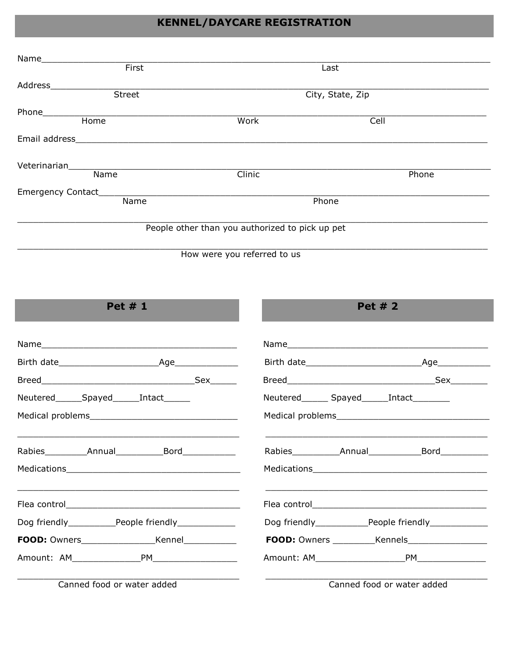### **KENNEL/DAYCARE REGISTRATION**

| Name               |                                                 |       |
|--------------------|-------------------------------------------------|-------|
| First              | Last                                            |       |
| Address            |                                                 |       |
| <b>Street</b>      | City, State, Zip                                |       |
| Phone              |                                                 |       |
| Home               | Work                                            | Cell  |
| Email address      |                                                 |       |
| Veterinarian       |                                                 |       |
| Name               | <b>Clinic</b>                                   | Phone |
| Emergency Contact_ |                                                 |       |
| Name               | Phone                                           |       |
|                    | People other than you authorized to pick up pet |       |
|                    |                                                 |       |

How were you referred to us

Pet # 1

| Neutered_______Spayed_______Intact_______ | Neutered________ Spayed_______Intact__________ |  |
|-------------------------------------------|------------------------------------------------|--|
|                                           |                                                |  |
|                                           | Rabies Annual Bord                             |  |
|                                           |                                                |  |
|                                           |                                                |  |
|                                           |                                                |  |
|                                           |                                                |  |
|                                           | Amount: AM PM PM                               |  |
| Canned food or water added                | Canned food or water added                     |  |

Canned food or water added

Canned food or water added

Pet # 2